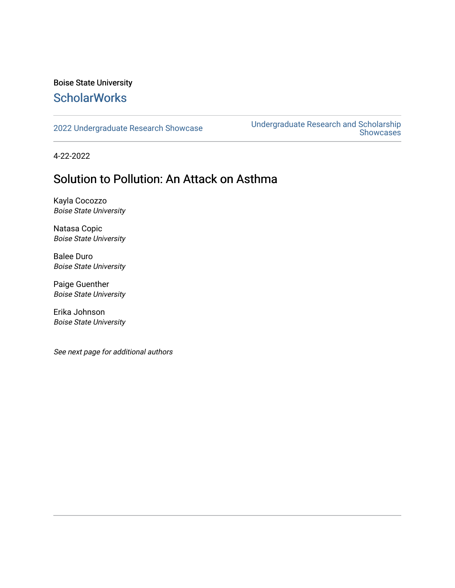## Boise State University **ScholarWorks**

[2022 Undergraduate Research Showcase](https://scholarworks.boisestate.edu/under_showcase_2022) [Undergraduate Research and Scholarship](https://scholarworks.boisestate.edu/under_conference)  Showcases

4-22-2022

# Solution to Pollution: An Attack on Asthma

Kayla Cocozzo Boise State University

Natasa Copic Boise State University

Balee Duro Boise State University

Paige Guenther Boise State University

Erika Johnson Boise State University

See next page for additional authors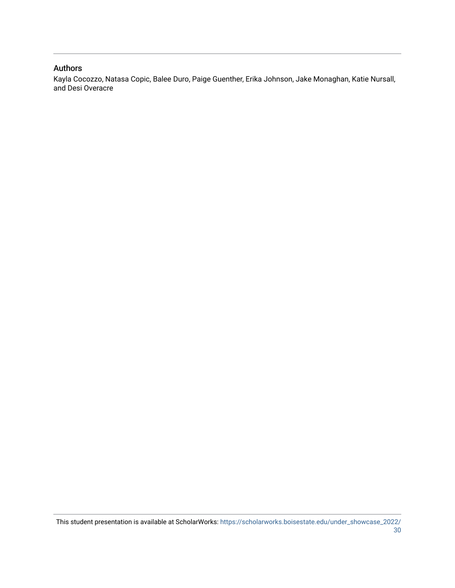## Authors

Kayla Cocozzo, Natasa Copic, Balee Duro, Paige Guenther, Erika Johnson, Jake Monaghan, Katie Nursall, and Desi Overacre

This student presentation is available at ScholarWorks: [https://scholarworks.boisestate.edu/under\\_showcase\\_2022/](https://scholarworks.boisestate.edu/under_showcase_2022/30) [30](https://scholarworks.boisestate.edu/under_showcase_2022/30)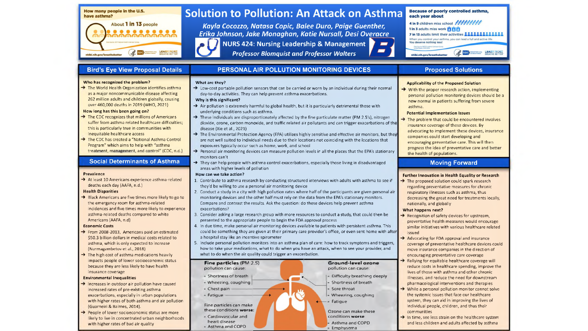

#### **Because of poorly controlled asthma. Solution to Pollution: An Attack on Asthma** each vear about

*Kayla Cocozzo, Natasa Copic, Balee Duro, Paige Guenther, Erika Johnson, Jake Monaghan, Katie Nursall, Desi Overacre* **NURS 424: Nursing Leadership & Management**

*Professor Blomquist and Professor Walters*

### **Bird's Eye View Proposal Details**

### Who has recognized the problem?

 $\rightarrow$  The World Health Organization identifies asthma as a major noncommunicable disease affecting 262 million adults and children globally, causing over 460,000 deaths in 2019 (WHO, 2021)

#### **How long has this been going on?**

- $\rightarrow$  The CDC recognizes that millions of Americans suffer from asthma related healthcare difficulties; this is particularly true in communities with inequitable healthcare access
- The CDC has created a "National Asthma Control Program" which aims to help with "asthma treatment, management, and control" (CDC, n.d.)

### **Social Determinants of Asthma**

#### **Prevalence**

 $\rightarrow$  At least 10 Americans experience asthma-related deaths each day (AAFA, n.d.)

### **Health Disparities**

Black Americans are five times more likely to go to the emergency room for asthma-related incidences and five times more likely to experience asthma-related deaths compared to white Americans (AAFA, n.d)

#### **Economic Costs**

- From 2008-2013, Americans paid an estimated \$50.3 billion dollars in medical costs related to asthma, which is only expected to increase (Nurmagambetov et al., 2018)
- $\rightarrow$  The high cost of asthma medications heavily impacts people of lower socioeconomic status because they are less likely to have health insurance coverage

### **Environmental Inequalities**

- $\rightarrow$  Increases in outdoor air pollution have caused increased rates of pre-existing asthma exacerbations, especially in urban populations with higher rates of both asthma and air pollution (Guarneiri & Balmes, 2014).
- $\rightarrow$  People of lower socioeconomic status are more likely to live in concentrated urban neighborhoods with higher rates of bad air quality

### **PERSONAL AIR POLLUTION MONITORING DEVICES**

### What are they?

 $\rightarrow$  Low-cost portable pollution sensors that can be carried or worn by an individual during their normal day-to-day activities. They can help prevent asthma exacerbations.

### **Why is this significant?**

- $\rightarrow$  Air pollution is extremely harmful to global health, but it is particularly detrimental those with underlying conditions such as asthma.
- $\rightarrow$  These individuals are disproportionately affected by the fine particulate matter (PM 2.5's), nitrogen dioxide, ozone, carbon monoxide, and traffic related air pollutants and can trigger exacerbations of the disease (Xie et al., 2021)
- $\rightarrow$  The Environmental Protection Agency (EPA) utilizes highly sensitive and effective air monitors, but they are not well suited to individual needs due to their locations not coinciding with the locations that exposures typically occur such as home, work, and school
- $\rightarrow$  Personal air monitoring devices can measure pollution levels in all the places that the EPA's stationary monitors can't
- $\rightarrow$  They can help people with asthma control exacerbations, especially those living in disadvantaged areas with higher levels of pollution

### **How can we take action?**

- 1. Contribute to asthma research by conducting structured interviews with adults with asthma to see if they'd be willing to use a personal air monitoring device
- 2. Conduct a study in a city with high pollution rates where half ofthe participants are given personal air monitoring devices and the other half must rely on the data from the EPA's stationary monitors. Compare and contrast the results. Ask the question: do these devices help prevent asthma exacerbations?
- 3. Consider asking a large research group with more resources to conduct a study, that could then be presented to the appropriate people to begin the FDA approval process
- 4. In due time, make personal air monitoring devices available to patients with persistent asthma. This could be something they are given at their primary care provider's office, or even sent home with after a hospital stay like an incentive spirometer
- 5. Include personal pollution monitors into an asthma plan of care: how to track symptoms and triggers, how to take your medications, what to do when you have an attack, when to see your provider, and what to do when the air quality could trigger an exacerbation.



### **Proposed Solutions**

### Applicability of the Proposed Solution

4 in 9 children miss school NUMM

7 in 13 adults limit their activities **AAAAAAAAAAAA** When you control your asthma, you can lead a full and active life.<br>You deserve nothing less!

(A NIH) WE LEARN MORE

1 in 3 adults miss work **in in in** 

nhibi.nih.gov/breathebetter

 $\rightarrow$  With the proper research action, implementing personal pollution monitoring devices should be a new normal in patients suffering from severe asthma.

### **Potential Implementation Issues**

 $\rightarrow$  The problem that could be encountered involves insurance coverage of these devices. By advocating to implement these devices, insurance companies could start developing and encouraging preventative care. This will then progress the idea of preventative care and better the health of populations.

### **Moving Forward**

### **Further Innovation in Health Equality or Research**

 $\rightarrow$  The proposed solution could spark research regarding preventative measures for chronic respiratory illnesses such as asthma, thus decreasing the great need for treatments locally, nationally, and globally

### **What happens next?**

- $\rightarrow$  Recognition of safety devices for upstream, preventative health measures would encourage similar initiatives with various healthcare related issued
- $\rightarrow$  Advocating for FDA approval and insurance coverage of preventative healthcare devices could move insurance companies in the direction of encouraging preventative care coverage Rallying for equitable healthcare coverage will reduce costs in healthcare spending, improve the lives of those with asthma and other chronic illnesses, and reduce the need for downstream
- pharmacological interventions and therapies  $\rightarrow$  While a personal pollution monitor cannot solve
- the systemic issues that face our healthcare system, they can aid in improving the lives of individual people, children, and thus their communities
- $\rightarrow$  In time, see less strain on the healthcare system and less children and adults affected by asthma